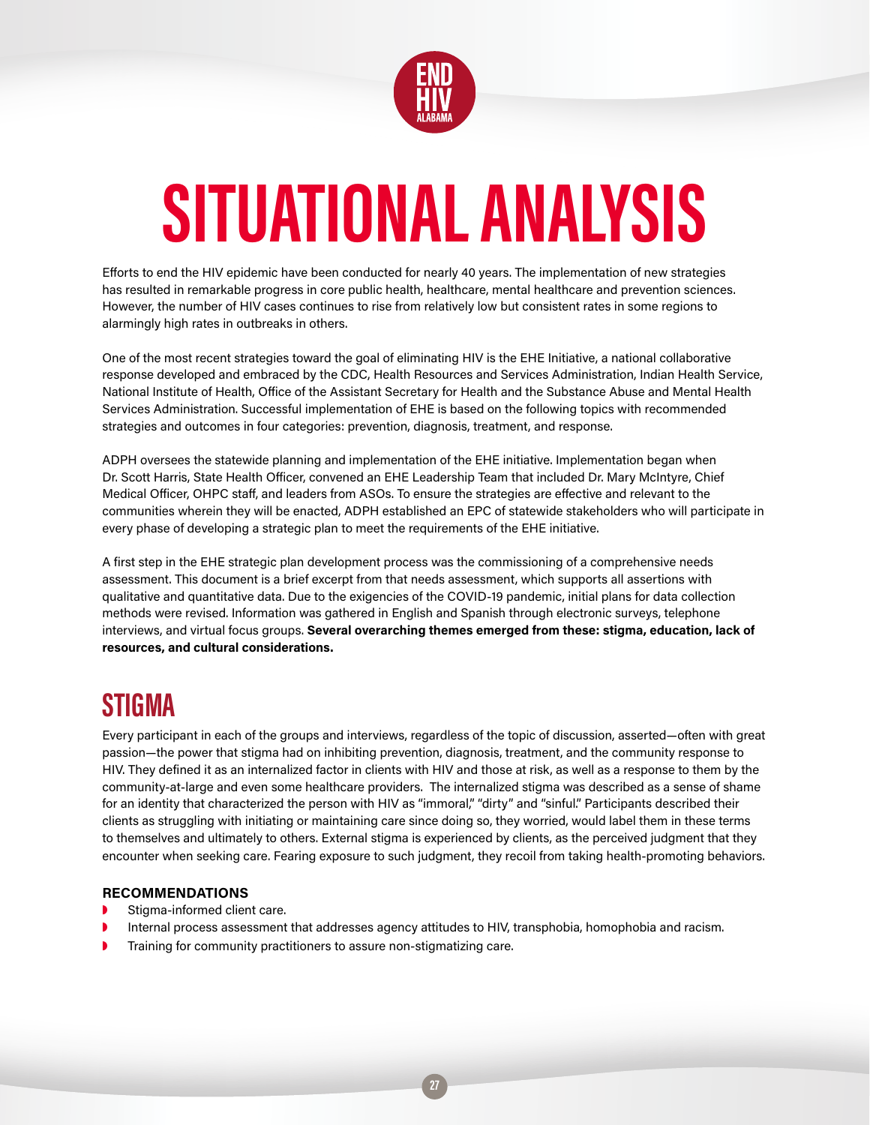

# **SITUATIONAL ANALYSIS**

Efforts to end the HIV epidemic have been conducted for nearly 40 years. The implementation of new strategies has resulted in remarkable progress in core public health, healthcare, mental healthcare and prevention sciences. However, the number of HIV cases continues to rise from relatively low but consistent rates in some regions to alarmingly high rates in outbreaks in others.

One of the most recent strategies toward the goal of eliminating HIV is the EHE Initiative, a national collaborative response developed and embraced by the CDC, Health Resources and Services Administration, Indian Health Service, National Institute of Health, Office of the Assistant Secretary for Health and the Substance Abuse and Mental Health Services Administration. Successful implementation of EHE is based on the following topics with recommended strategies and outcomes in four categories: prevention, diagnosis, treatment, and response.

ADPH oversees the statewide planning and implementation of the EHE initiative. Implementation began when Dr. Scott Harris, State Health Officer, convened an EHE Leadership Team that included Dr. Mary McIntyre, Chief Medical Officer, OHPC staff, and leaders from ASOs. To ensure the strategies are effective and relevant to the communities wherein they will be enacted, ADPH established an EPC of statewide stakeholders who will participate in every phase of developing a strategic plan to meet the requirements of the EHE initiative.

A first step in the EHE strategic plan development process was the commissioning of a comprehensive needs assessment. This document is a brief excerpt from that needs assessment, which supports all assertions with qualitative and quantitative data. Due to the exigencies of the COVID-19 pandemic, initial plans for data collection methods were revised. Information was gathered in English and Spanish through electronic surveys, telephone interviews, and virtual focus groups. **Several overarching themes emerged from these: stigma, education, lack of resources, and cultural considerations.**

## **STIGMA**

Every participant in each of the groups and interviews, regardless of the topic of discussion, asserted—often with great passion—the power that stigma had on inhibiting prevention, diagnosis, treatment, and the community response to HIV. They defined it as an internalized factor in clients with HIV and those at risk, as well as a response to them by the community-at-large and even some healthcare providers. The internalized stigma was described as a sense of shame for an identity that characterized the person with HIV as "immoral," "dirty" and "sinful." Participants described their clients as struggling with initiating or maintaining care since doing so, they worried, would label them in these terms to themselves and ultimately to others. External stigma is experienced by clients, as the perceived judgment that they encounter when seeking care. Fearing exposure to such judgment, they recoil from taking health-promoting behaviors.

#### **RECOMMENDATIONS**

- ◗ Stigma-informed client care.
- Internal process assessment that addresses agency attitudes to HIV, transphobia, homophobia and racism.
- ◗ Training for community practitioners to assure non-stigmatizing care.

**27**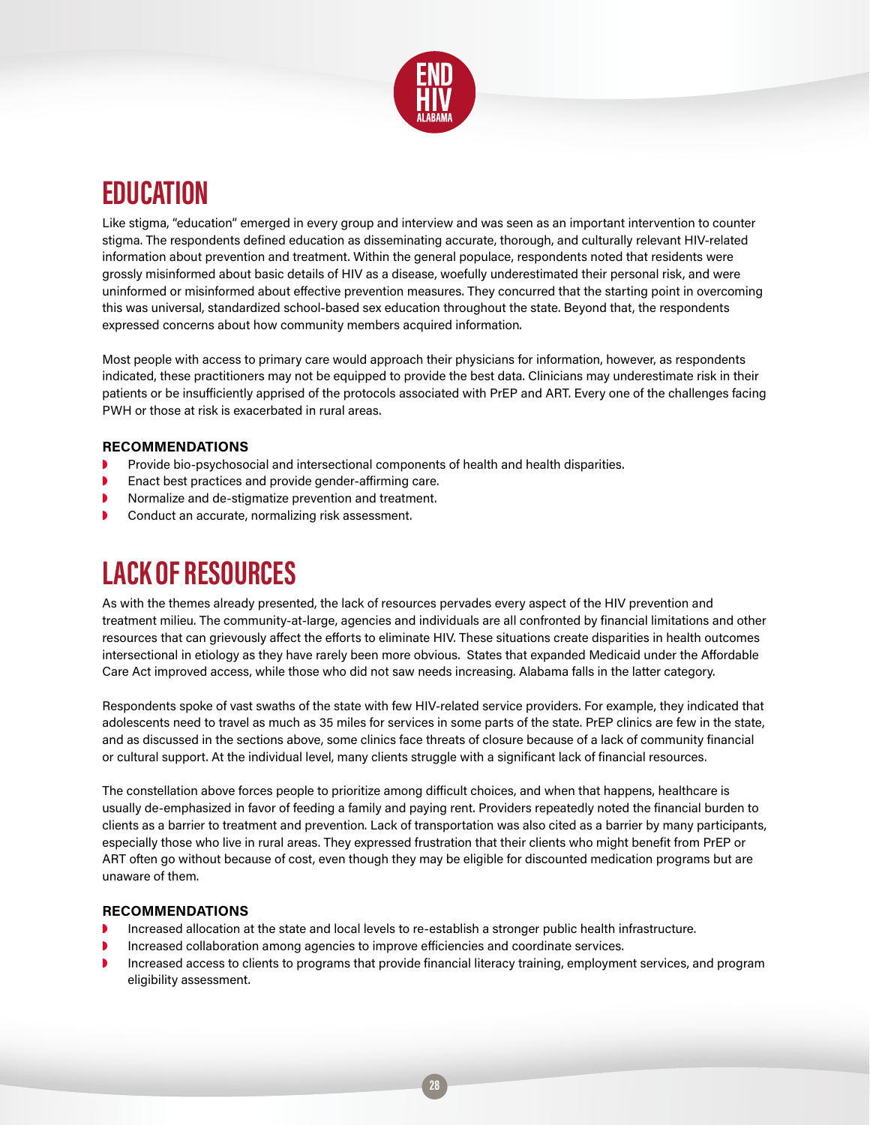

## **EDUCATION**

Like stigma, "education" emerged in every group and interview and was seen as an important intervention to counter stigma. The respondents defined education as disseminating accurate, thorough, and culturally relevant HIV-related information about prevention and treatment. Within the general populace, respondents noted that residents were grossly misinformed about basic details of HIV as a disease, woefully underestimated their personal risk, and were uninformed or misinformed about effective prevention measures. They concurred that the starting point in overcoming this was universal, standardized school-based sex education throughout the state. Beyond that, the respondents expressed concerns about how community members acquired information.

Most people with access to primary care would approach their physicians for information, however, as respondents indicated, these practitioners may not be equipped to provide the best data. Clinicians may underestimate risk in their patients or be insufficiently apprised of the protocols associated with PrEP and ART. Every one of the challenges facing PWH or those at risk is exacerbated in rural areas.

#### **RECOMMENDATIONS**

- ◗ Provide bio-psychosocial and intersectional components of health and health disparities.
- ◗ Enact best practices and provide gender-affirming care.
- ◗ Normalize and de-stigmatize prevention and treatment.
- ◗ Conduct an accurate, normalizing risk assessment.

# **LACK OF RESOURCES**

As with the themes already presented, the lack of resources pervades every aspect of the HIV prevention and treatment milieu. The community-at-large, agencies and individuals are all confronted by financial limitations and other resources that can grievously affect the efforts to eliminate HIV. These situations create disparities in health outcomes intersectional in etiology as they have rarely been more obvious. States that expanded Medicaid under the Affordable Care Act improved access, while those who did not saw needs increasing. Alabama falls in the latter category.

Respondents spoke of vast swaths of the state with few HIV-related service providers. For example, they indicated that adolescents need to travel as much as 35 miles for services in some parts of the state. PrEP clinics are few in the state, and as discussed in the sections above, some clinics face threats of closure because of a lack of community financial or cultural support. At the individual level, many clients struggle with a significant lack of financial resources.

The constellation above forces people to prioritize among difficult choices, and when that happens, healthcare is usually de-emphasized in favor of feeding a family and paying rent. Providers repeatedly noted the financial burden to clients as a barrier to treatment and prevention. Lack of transportation was also cited as a barrier by many participants, especially those who live in rural areas. They expressed frustration that their clients who might benefit from PrEP or ART often go without because of cost, even though they may be eligible for discounted medication programs but are unaware of them.

#### **RECOMMENDATIONS**

- ◗ Increased allocation at the state and local levels to re-establish a stronger public health infrastructure.
- ◗ Increased collaboration among agencies to improve efficiencies and coordinate services.
- ◗ Increased access to clients to programs that provide financial literacy training, employment services, and program eligibility assessment.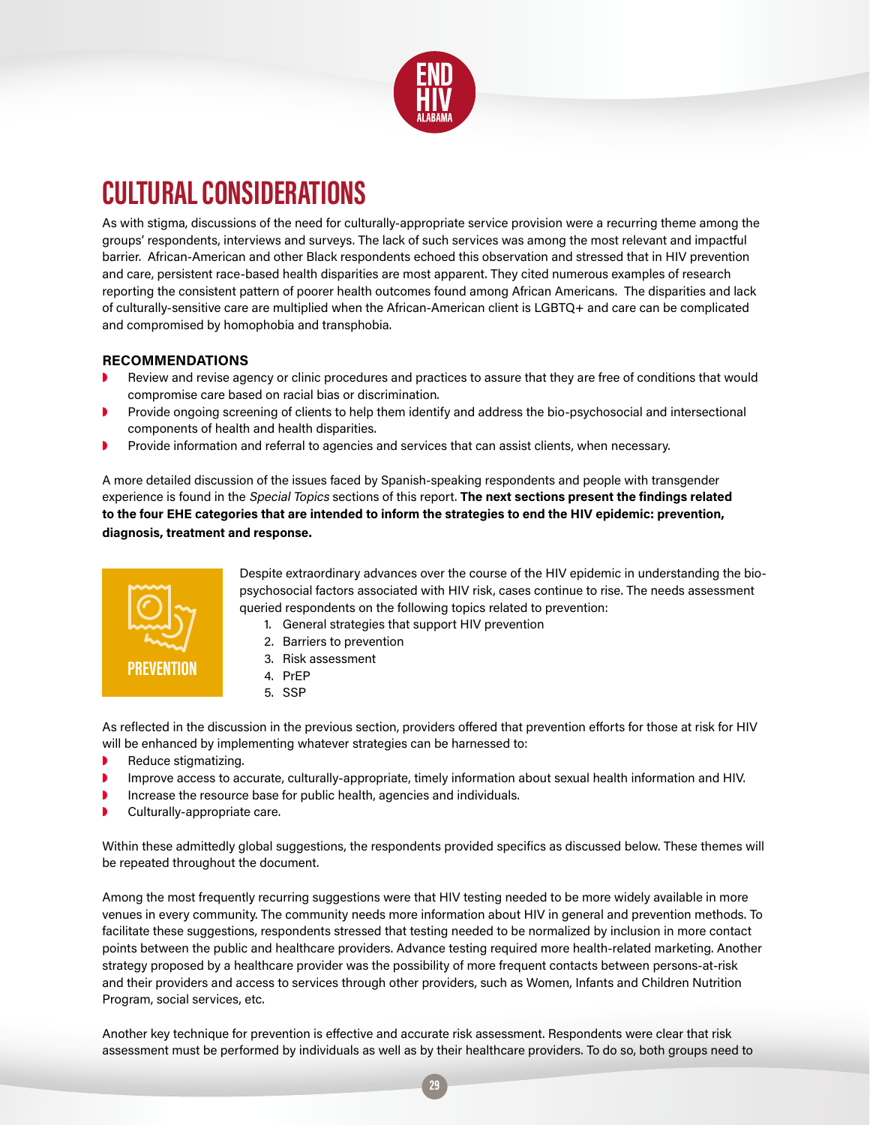

# **CULTURAL CONSIDERATIONS**

As with stigma, discussions of the need for culturally-appropriate service provision were a recurring theme among the groups' respondents, interviews and surveys. The lack of such services was among the most relevant and impactful barrier. African-American and other Black respondents echoed this observation and stressed that in HIV prevention and care, persistent race-based health disparities are most apparent. They cited numerous examples of research reporting the consistent pattern of poorer health outcomes found among African Americans. The disparities and lack of culturally-sensitive care are multiplied when the African-American client is LGBTQ+ and care can be complicated and compromised by homophobia and transphobia.

#### **RECOMMENDATIONS**

- ◗ Review and revise agency or clinic procedures and practices to assure that they are free of conditions that would compromise care based on racial bias or discrimination.
- ◗ Provide ongoing screening of clients to help them identify and address the bio-psychosocial and intersectional components of health and health disparities.
- Provide information and referral to agencies and services that can assist clients, when necessary.

A more detailed discussion of the issues faced by Spanish-speaking respondents and people with transgender experience is found in the Special Topics sections of this report. **The next sections present the findings related to the four EHE categories that are intended to inform the strategies to end the HIV epidemic: prevention, diagnosis, treatment and response.**



Despite extraordinary advances over the course of the HIV epidemic in understanding the biopsychosocial factors associated with HIV risk, cases continue to rise. The needs assessment queried respondents on the following topics related to prevention:

- 1. General strategies that support HIV prevention
- 2. Barriers to prevention
- 3. Risk assessment
- 4. PrEP
- 5. SSP

As reflected in the discussion in the previous section, providers offered that prevention efforts for those at risk for HIV will be enhanced by implementing whatever strategies can be harnessed to:

- **▶ Reduce stigmatizing.**
- ◗ Improve access to accurate, culturally-appropriate, timely information about sexual health information and HIV.
- ◗ Increase the resource base for public health, agencies and individuals.
- Culturally-appropriate care.

Within these admittedly global suggestions, the respondents provided specifics as discussed below. These themes will be repeated throughout the document.

Among the most frequently recurring suggestions were that HIV testing needed to be more widely available in more venues in every community. The community needs more information about HIV in general and prevention methods. To facilitate these suggestions, respondents stressed that testing needed to be normalized by inclusion in more contact points between the public and healthcare providers. Advance testing required more health-related marketing. Another strategy proposed by a healthcare provider was the possibility of more frequent contacts between persons-at-risk and their providers and access to services through other providers, such as Women, Infants and Children Nutrition Program, social services, etc.

Another key technique for prevention is effective and accurate risk assessment. Respondents were clear that risk assessment must be performed by individuals as well as by their healthcare providers. To do so, both groups need to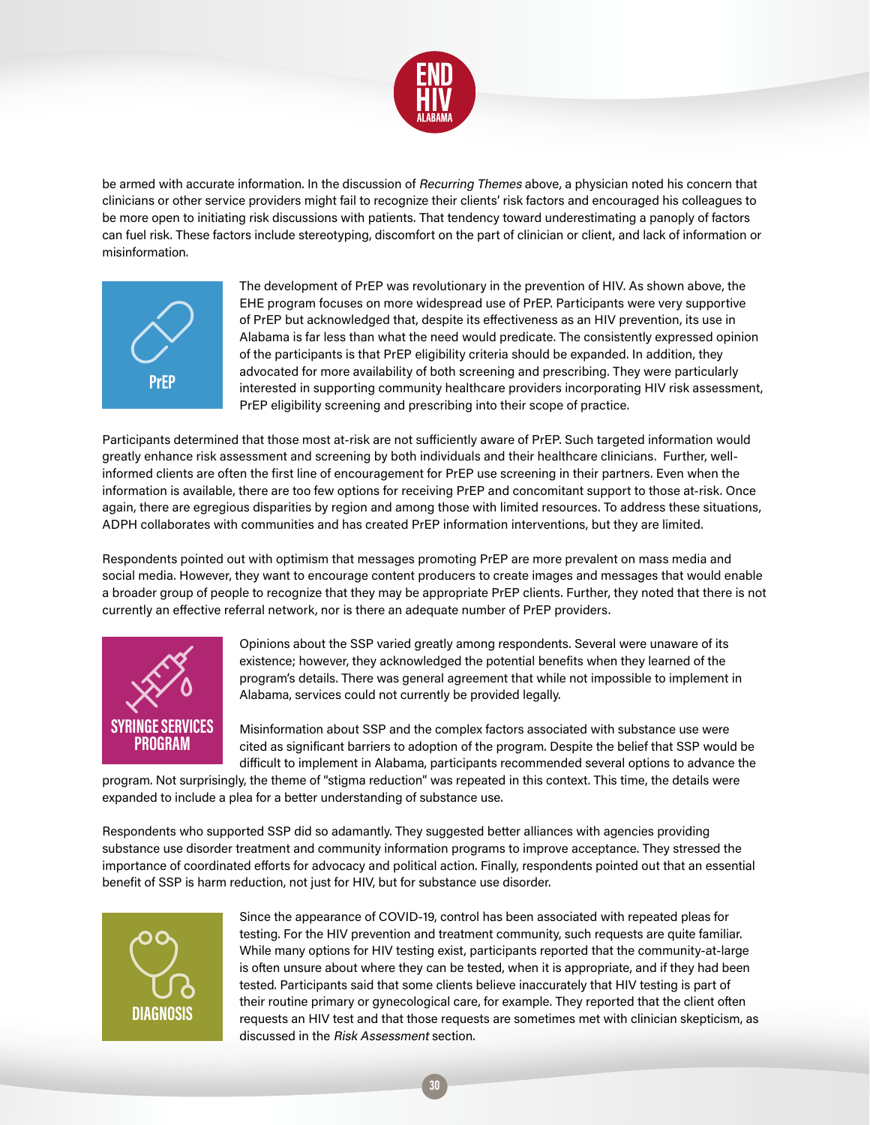

be armed with accurate information. In the discussion of Recurring Themes above, a physician noted his concern that clinicians or other service providers might fail to recognize their clients' risk factors and encouraged his colleagues to be more open to initiating risk discussions with patients. That tendency toward underestimating a panoply of factors can fuel risk. These factors include stereotyping, discomfort on the part of clinician or client, and lack of information or misinformation.



The development of PrEP was revolutionary in the prevention of HIV. As shown above, the EHE program focuses on more widespread use of PrEP. Participants were very supportive of PrEP but acknowledged that, despite its effectiveness as an HIV prevention, its use in Alabama is far less than what the need would predicate. The consistently expressed opinion of the participants is that PrEP eligibility criteria should be expanded. In addition, they advocated for more availability of both screening and prescribing. They were particularly interested in supporting community healthcare providers incorporating HIV risk assessment, PrEP eligibility screening and prescribing into their scope of practice.

Participants determined that those most at-risk are not sufficiently aware of PrEP. Such targeted information would greatly enhance risk assessment and screening by both individuals and their healthcare clinicians. Further, wellinformed clients are often the first line of encouragement for PrEP use screening in their partners. Even when the information is available, there are too few options for receiving PrEP and concomitant support to those at-risk. Once again, there are egregious disparities by region and among those with limited resources. To address these situations, ADPH collaborates with communities and has created PrEP information interventions, but they are limited.

Respondents pointed out with optimism that messages promoting PrEP are more prevalent on mass media and social media. However, they want to encourage content producers to create images and messages that would enable a broader group of people to recognize that they may be appropriate PrEP clients. Further, they noted that there is not currently an effective referral network, nor is there an adequate number of PrEP providers.



Opinions about the SSP varied greatly among respondents. Several were unaware of its existence; however, they acknowledged the potential benefits when they learned of the program's details. There was general agreement that while not impossible to implement in Alabama, services could not currently be provided legally.

Misinformation about SSP and the complex factors associated with substance use were cited as significant barriers to adoption of the program. Despite the belief that SSP would be difficult to implement in Alabama, participants recommended several options to advance the

program. Not surprisingly, the theme of "stigma reduction" was repeated in this context. This time, the details were expanded to include a plea for a better understanding of substance use.

Respondents who supported SSP did so adamantly. They suggested better alliances with agencies providing substance use disorder treatment and community information programs to improve acceptance. They stressed the importance of coordinated efforts for advocacy and political action. Finally, respondents pointed out that an essential benefit of SSP is harm reduction, not just for HIV, but for substance use disorder.



Since the appearance of COVID-19, control has been associated with repeated pleas for testing. For the HIV prevention and treatment community, such requests are quite familiar. While many options for HIV testing exist, participants reported that the community-at-large is often unsure about where they can be tested, when it is appropriate, and if they had been tested. Participants said that some clients believe inaccurately that HIV testing is part of their routine primary or gynecological care, for example. They reported that the client often requests an HIV test and that those requests are sometimes met with clinician skepticism, as discussed in the Risk Assessment section.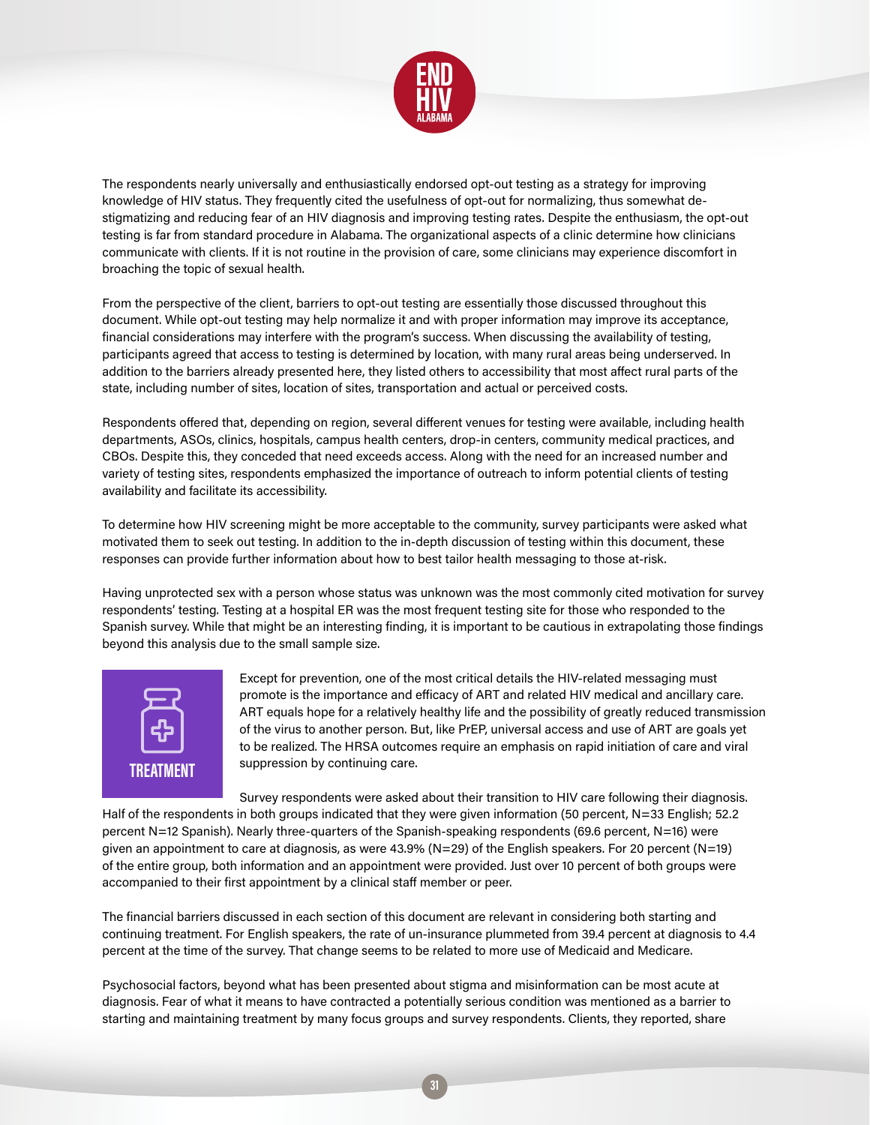

The respondents nearly universally and enthusiastically endorsed opt-out testing as a strategy for improving knowledge of HIV status. They frequently cited the usefulness of opt-out for normalizing, thus somewhat destigmatizing and reducing fear of an HIV diagnosis and improving testing rates. Despite the enthusiasm, the opt-out testing is far from standard procedure in Alabama. The organizational aspects of a clinic determine how clinicians communicate with clients. If it is not routine in the provision of care, some clinicians may experience discomfort in broaching the topic of sexual health.

From the perspective of the client, barriers to opt-out testing are essentially those discussed throughout this document. While opt-out testing may help normalize it and with proper information may improve its acceptance, financial considerations may interfere with the program's success. When discussing the availability of testing, participants agreed that access to testing is determined by location, with many rural areas being underserved. In addition to the barriers already presented here, they listed others to accessibility that most affect rural parts of the state, including number of sites, location of sites, transportation and actual or perceived costs.

Respondents offered that, depending on region, several different venues for testing were available, including health departments, ASOs, clinics, hospitals, campus health centers, drop-in centers, community medical practices, and CBOs. Despite this, they conceded that need exceeds access. Along with the need for an increased number and variety of testing sites, respondents emphasized the importance of outreach to inform potential clients of testing availability and facilitate its accessibility.

To determine how HIV screening might be more acceptable to the community, survey participants were asked what motivated them to seek out testing. In addition to the in-depth discussion of testing within this document, these responses can provide further information about how to best tailor health messaging to those at-risk.

Having unprotected sex with a person whose status was unknown was the most commonly cited motivation for survey respondents' testing. Testing at a hospital ER was the most frequent testing site for those who responded to the Spanish survey. While that might be an interesting finding, it is important to be cautious in extrapolating those findings beyond this analysis due to the small sample size.



Except for prevention, one of the most critical details the HIV-related messaging must promote is the importance and efficacy of ART and related HIV medical and ancillary care. ART equals hope for a relatively healthy life and the possibility of greatly reduced transmission of the virus to another person. But, like PrEP, universal access and use of ART are goals yet to be realized. The HRSA outcomes require an emphasis on rapid initiation of care and viral suppression by continuing care.

Survey respondents were asked about their transition to HIV care following their diagnosis. Half of the respondents in both groups indicated that they were given information (50 percent, N=33 English; 52.2 percent N=12 Spanish). Nearly three-quarters of the Spanish-speaking respondents (69.6 percent, N=16) were given an appointment to care at diagnosis, as were 43.9% (N=29) of the English speakers. For 20 percent (N=19) of the entire group, both information and an appointment were provided. Just over 10 percent of both groups were accompanied to their first appointment by a clinical staff member or peer.

The financial barriers discussed in each section of this document are relevant in considering both starting and continuing treatment. For English speakers, the rate of un-insurance plummeted from 39.4 percent at diagnosis to 4.4 percent at the time of the survey. That change seems to be related to more use of Medicaid and Medicare.

Psychosocial factors, beyond what has been presented about stigma and misinformation can be most acute at diagnosis. Fear of what it means to have contracted a potentially serious condition was mentioned as a barrier to starting and maintaining treatment by many focus groups and survey respondents. Clients, they reported, share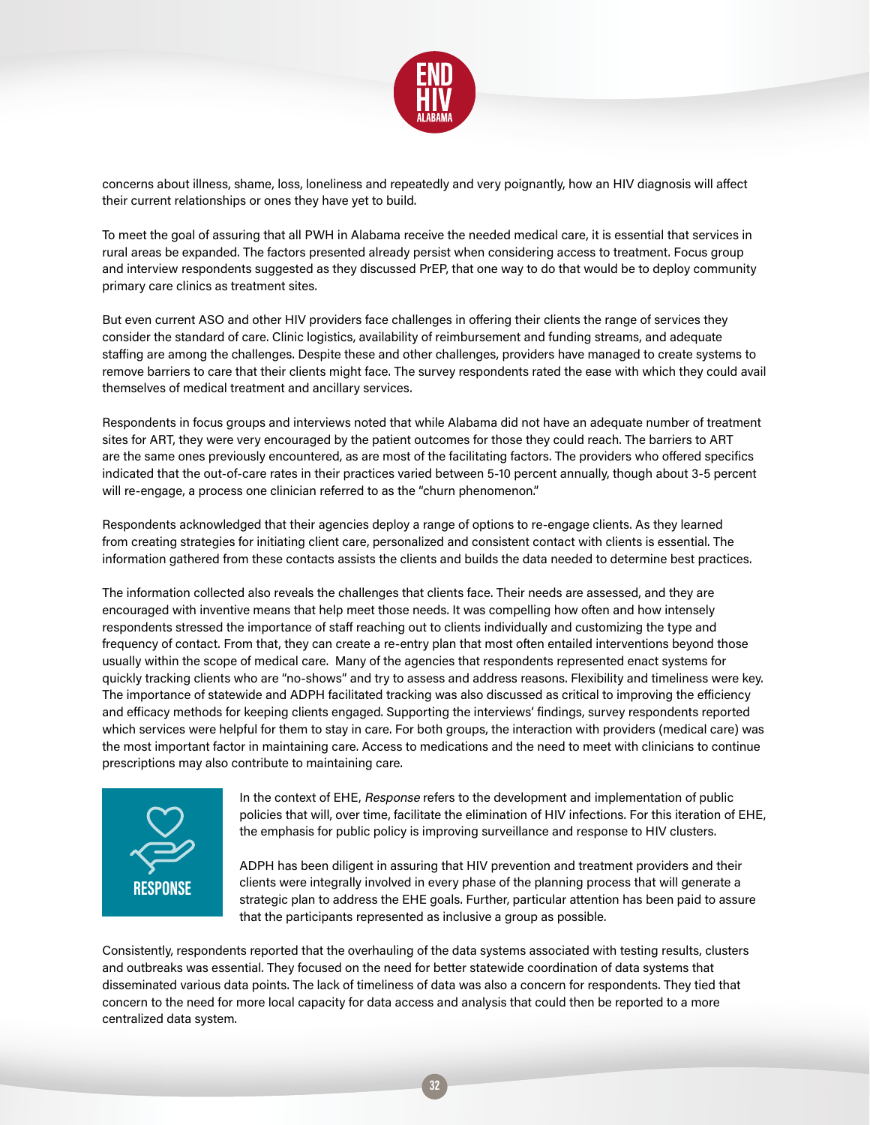

concerns about illness, shame, loss, loneliness and repeatedly and very poignantly, how an HIV diagnosis will affect their current relationships or ones they have yet to build.

To meet the goal of assuring that all PWH in Alabama receive the needed medical care, it is essential that services in rural areas be expanded. The factors presented already persist when considering access to treatment. Focus group and interview respondents suggested as they discussed PrEP, that one way to do that would be to deploy community primary care clinics as treatment sites.

But even current ASO and other HIV providers face challenges in offering their clients the range of services they consider the standard of care. Clinic logistics, availability of reimbursement and funding streams, and adequate staffing are among the challenges. Despite these and other challenges, providers have managed to create systems to remove barriers to care that their clients might face. The survey respondents rated the ease with which they could avail themselves of medical treatment and ancillary services.

Respondents in focus groups and interviews noted that while Alabama did not have an adequate number of treatment sites for ART, they were very encouraged by the patient outcomes for those they could reach. The barriers to ART are the same ones previously encountered, as are most of the facilitating factors. The providers who offered specifics indicated that the out-of-care rates in their practices varied between 5-10 percent annually, though about 3-5 percent will re-engage, a process one clinician referred to as the "churn phenomenon."

Respondents acknowledged that their agencies deploy a range of options to re-engage clients. As they learned from creating strategies for initiating client care, personalized and consistent contact with clients is essential. The information gathered from these contacts assists the clients and builds the data needed to determine best practices.

The information collected also reveals the challenges that clients face. Their needs are assessed, and they are encouraged with inventive means that help meet those needs. It was compelling how often and how intensely respondents stressed the importance of staff reaching out to clients individually and customizing the type and frequency of contact. From that, they can create a re-entry plan that most often entailed interventions beyond those usually within the scope of medical care. Many of the agencies that respondents represented enact systems for quickly tracking clients who are "no-shows" and try to assess and address reasons. Flexibility and timeliness were key. The importance of statewide and ADPH facilitated tracking was also discussed as critical to improving the efficiency and efficacy methods for keeping clients engaged. Supporting the interviews' findings, survey respondents reported which services were helpful for them to stay in care. For both groups, the interaction with providers (medical care) was the most important factor in maintaining care. Access to medications and the need to meet with clinicians to continue prescriptions may also contribute to maintaining care.



In the context of EHE, Response refers to the development and implementation of public policies that will, over time, facilitate the elimination of HIV infections. For this iteration of EHE, the emphasis for public policy is improving surveillance and response to HIV clusters.

ADPH has been diligent in assuring that HIV prevention and treatment providers and their clients were integrally involved in every phase of the planning process that will generate a strategic plan to address the EHE goals. Further, particular attention has been paid to assure that the participants represented as inclusive a group as possible.

Consistently, respondents reported that the overhauling of the data systems associated with testing results, clusters and outbreaks was essential. They focused on the need for better statewide coordination of data systems that disseminated various data points. The lack of timeliness of data was also a concern for respondents. They tied that concern to the need for more local capacity for data access and analysis that could then be reported to a more centralized data system.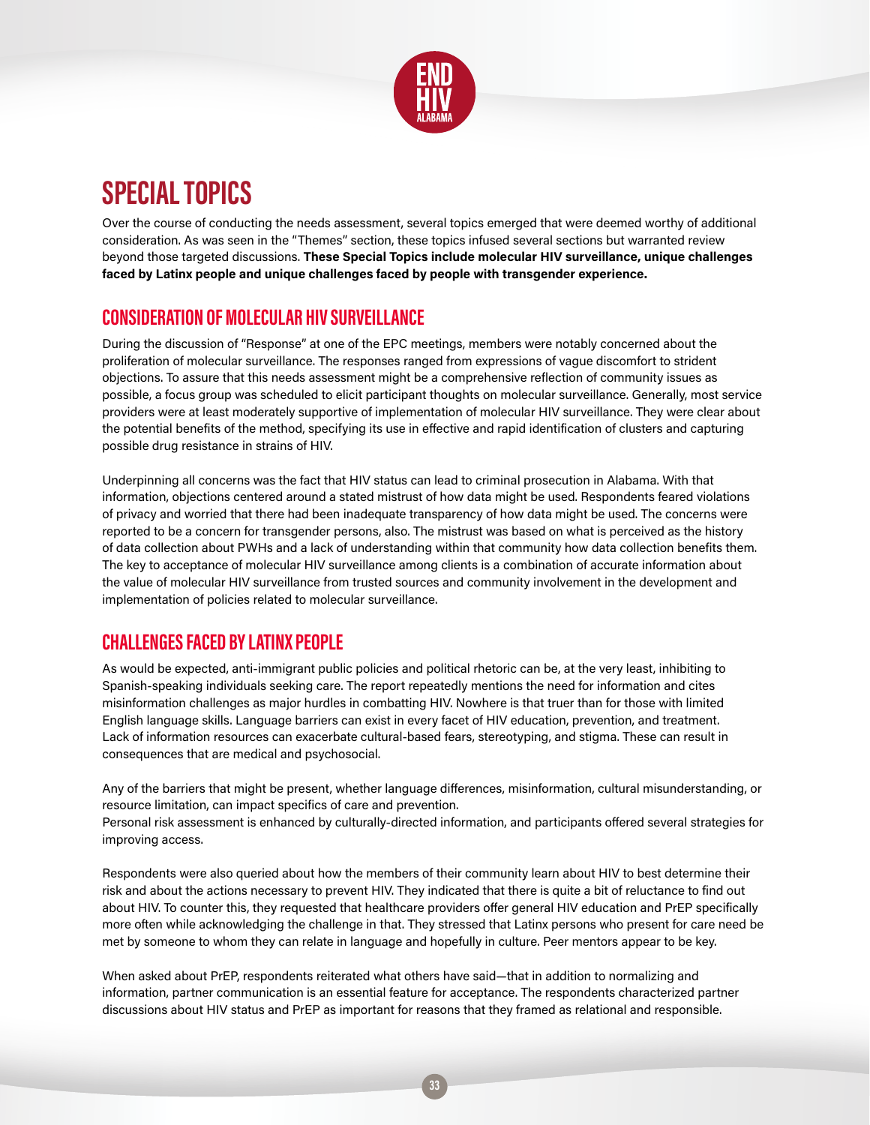

# **SPECIAL TOPICS**

Over the course of conducting the needs assessment, several topics emerged that were deemed worthy of additional consideration. As was seen in the "Themes" section, these topics infused several sections but warranted review beyond those targeted discussions. **These Special Topics include molecular HIV surveillance, unique challenges faced by Latinx people and unique challenges faced by people with transgender experience.** 

### **CONSIDERATION OF MOLECULAR HIV SURVEILLANCE**

During the discussion of "Response" at one of the EPC meetings, members were notably concerned about the proliferation of molecular surveillance. The responses ranged from expressions of vague discomfort to strident objections. To assure that this needs assessment might be a comprehensive reflection of community issues as possible, a focus group was scheduled to elicit participant thoughts on molecular surveillance. Generally, most service providers were at least moderately supportive of implementation of molecular HIV surveillance. They were clear about the potential benefits of the method, specifying its use in effective and rapid identification of clusters and capturing possible drug resistance in strains of HIV.

Underpinning all concerns was the fact that HIV status can lead to criminal prosecution in Alabama. With that information, objections centered around a stated mistrust of how data might be used. Respondents feared violations of privacy and worried that there had been inadequate transparency of how data might be used. The concerns were reported to be a concern for transgender persons, also. The mistrust was based on what is perceived as the history of data collection about PWHs and a lack of understanding within that community how data collection benefits them. The key to acceptance of molecular HIV surveillance among clients is a combination of accurate information about the value of molecular HIV surveillance from trusted sources and community involvement in the development and implementation of policies related to molecular surveillance.

### **CHALLENGES FACED BY LATINX PEOPLE**

As would be expected, anti-immigrant public policies and political rhetoric can be, at the very least, inhibiting to Spanish-speaking individuals seeking care. The report repeatedly mentions the need for information and cites misinformation challenges as major hurdles in combatting HIV. Nowhere is that truer than for those with limited English language skills. Language barriers can exist in every facet of HIV education, prevention, and treatment. Lack of information resources can exacerbate cultural-based fears, stereotyping, and stigma. These can result in consequences that are medical and psychosocial.

Any of the barriers that might be present, whether language differences, misinformation, cultural misunderstanding, or resource limitation, can impact specifics of care and prevention.

Personal risk assessment is enhanced by culturally-directed information, and participants offered several strategies for improving access.

Respondents were also queried about how the members of their community learn about HIV to best determine their risk and about the actions necessary to prevent HIV. They indicated that there is quite a bit of reluctance to find out about HIV. To counter this, they requested that healthcare providers offer general HIV education and PrEP specifically more often while acknowledging the challenge in that. They stressed that Latinx persons who present for care need be met by someone to whom they can relate in language and hopefully in culture. Peer mentors appear to be key.

When asked about PrEP, respondents reiterated what others have said—that in addition to normalizing and information, partner communication is an essential feature for acceptance. The respondents characterized partner discussions about HIV status and PrEP as important for reasons that they framed as relational and responsible.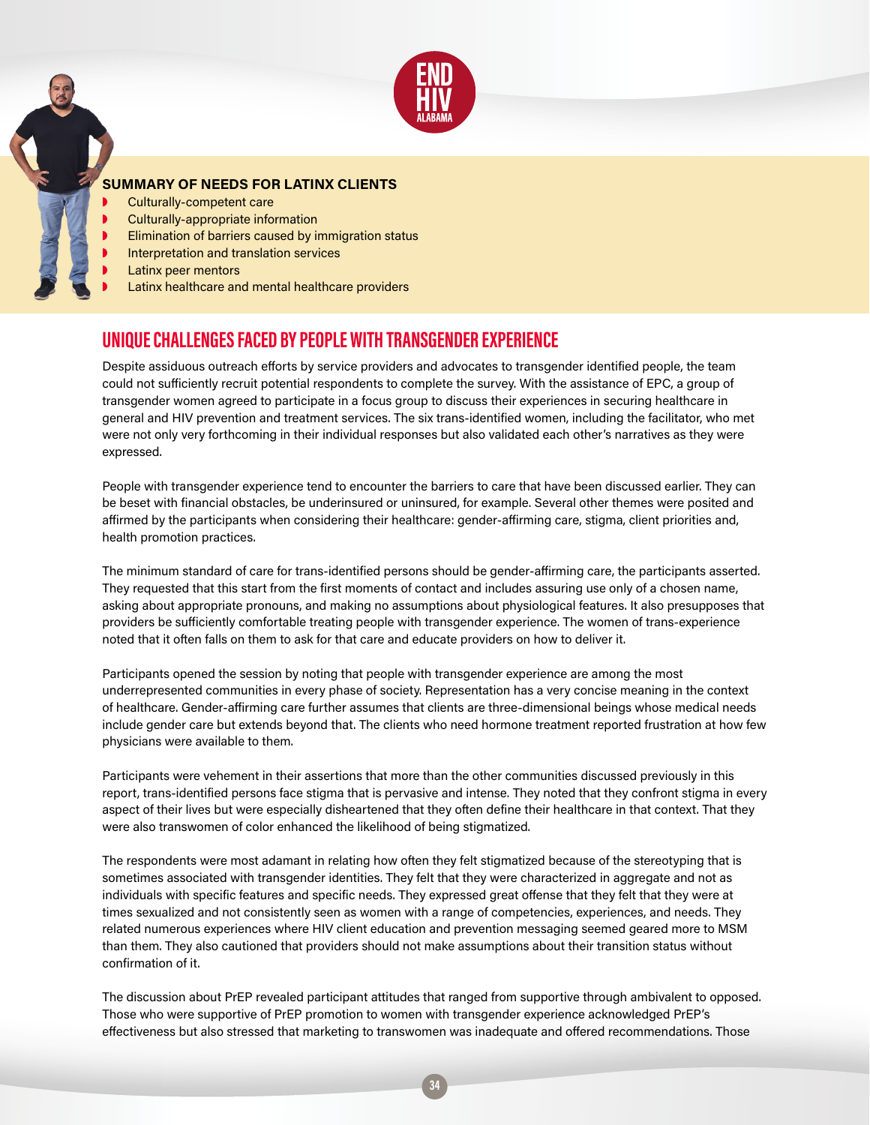

### **SUMMARY OF NEEDS FOR LATINX CLIENTS**

- Culturally-competent care
- ◗ Culturally-appropriate information
- Elimination of barriers caused by immigration status
- Interpretation and translation services
- Latinx peer mentors
- Latinx healthcare and mental healthcare providers

### **UNIQUE CHALLENGES FACED BY PEOPLE WITH TRANSGENDER EXPERIENCE**

Despite assiduous outreach efforts by service providers and advocates to transgender identified people, the team could not sufficiently recruit potential respondents to complete the survey. With the assistance of EPC, a group of transgender women agreed to participate in a focus group to discuss their experiences in securing healthcare in general and HIV prevention and treatment services. The six trans-identified women, including the facilitator, who met were not only very forthcoming in their individual responses but also validated each other's narratives as they were expressed.

People with transgender experience tend to encounter the barriers to care that have been discussed earlier. They can be beset with financial obstacles, be underinsured or uninsured, for example. Several other themes were posited and affirmed by the participants when considering their healthcare: gender-affirming care, stigma, client priorities and, health promotion practices.

The minimum standard of care for trans-identified persons should be gender-affirming care, the participants asserted. They requested that this start from the first moments of contact and includes assuring use only of a chosen name, asking about appropriate pronouns, and making no assumptions about physiological features. It also presupposes that providers be sufficiently comfortable treating people with transgender experience. The women of trans-experience noted that it often falls on them to ask for that care and educate providers on how to deliver it.

Participants opened the session by noting that people with transgender experience are among the most underrepresented communities in every phase of society. Representation has a very concise meaning in the context of healthcare. Gender-affirming care further assumes that clients are three-dimensional beings whose medical needs include gender care but extends beyond that. The clients who need hormone treatment reported frustration at how few physicians were available to them.

Participants were vehement in their assertions that more than the other communities discussed previously in this report, trans-identified persons face stigma that is pervasive and intense. They noted that they confront stigma in every aspect of their lives but were especially disheartened that they often define their healthcare in that context. That they were also transwomen of color enhanced the likelihood of being stigmatized.

The respondents were most adamant in relating how often they felt stigmatized because of the stereotyping that is sometimes associated with transgender identities. They felt that they were characterized in aggregate and not as individuals with specific features and specific needs. They expressed great offense that they felt that they were at times sexualized and not consistently seen as women with a range of competencies, experiences, and needs. They related numerous experiences where HIV client education and prevention messaging seemed geared more to MSM than them. They also cautioned that providers should not make assumptions about their transition status without confirmation of it.

The discussion about PrEP revealed participant attitudes that ranged from supportive through ambivalent to opposed. Those who were supportive of PrEP promotion to women with transgender experience acknowledged PrEP's effectiveness but also stressed that marketing to transwomen was inadequate and offered recommendations. Those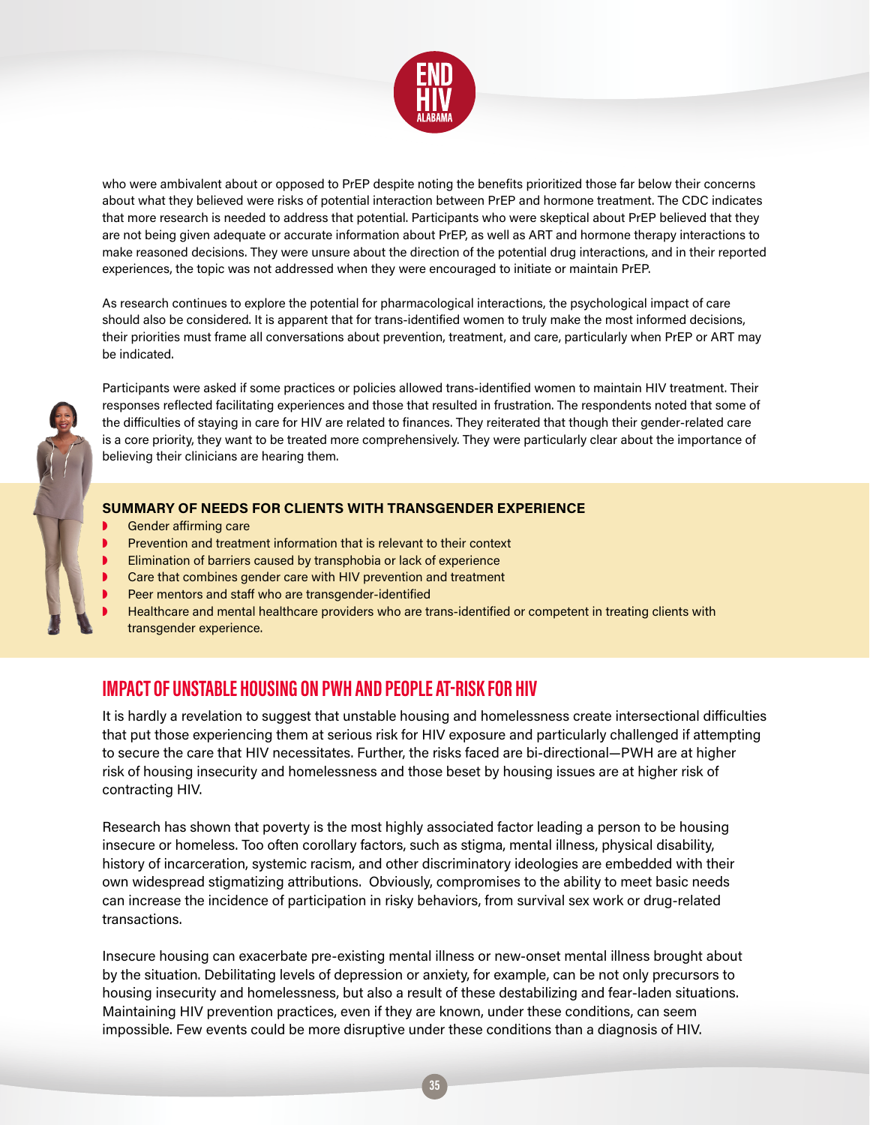

who were ambivalent about or opposed to PrEP despite noting the benefits prioritized those far below their concerns about what they believed were risks of potential interaction between PrEP and hormone treatment. The CDC indicates that more research is needed to address that potential. Participants who were skeptical about PrEP believed that they are not being given adequate or accurate information about PrEP, as well as ART and hormone therapy interactions to make reasoned decisions. They were unsure about the direction of the potential drug interactions, and in their reported experiences, the topic was not addressed when they were encouraged to initiate or maintain PrEP.

As research continues to explore the potential for pharmacological interactions, the psychological impact of care should also be considered. It is apparent that for trans-identified women to truly make the most informed decisions, their priorities must frame all conversations about prevention, treatment, and care, particularly when PrEP or ART may be indicated.



Participants were asked if some practices or policies allowed trans-identified women to maintain HIV treatment. Their responses reflected facilitating experiences and those that resulted in frustration. The respondents noted that some of the difficulties of staying in care for HIV are related to finances. They reiterated that though their gender-related care is a core priority, they want to be treated more comprehensively. They were particularly clear about the importance of believing their clinicians are hearing them.

#### **SUMMARY OF NEEDS FOR CLIENTS WITH TRANSGENDER EXPERIENCE**

- Gender affirming care
- ◗ Prevention and treatment information that is relevant to their context
- Elimination of barriers caused by transphobia or lack of experience
- ◗ Care that combines gender care with HIV prevention and treatment
- Peer mentors and staff who are transgender-identified
- ◗ Healthcare and mental healthcare providers who are trans-identified or competent in treating clients with transgender experience.

### **IMPACT OF UNSTABLE HOUSING ON PWH AND PEOPLE AT-RISK FOR HIV**

It is hardly a revelation to suggest that unstable housing and homelessness create intersectional difficulties that put those experiencing them at serious risk for HIV exposure and particularly challenged if attempting to secure the care that HIV necessitates. Further, the risks faced are bi-directional—PWH are at higher risk of housing insecurity and homelessness and those beset by housing issues are at higher risk of contracting HIV.

Research has shown that poverty is the most highly associated factor leading a person to be housing insecure or homeless. Too often corollary factors, such as stigma, mental illness, physical disability, history of incarceration, systemic racism, and other discriminatory ideologies are embedded with their own widespread stigmatizing attributions. Obviously, compromises to the ability to meet basic needs can increase the incidence of participation in risky behaviors, from survival sex work or drug-related transactions.

Insecure housing can exacerbate pre-existing mental illness or new-onset mental illness brought about by the situation. Debilitating levels of depression or anxiety, for example, can be not only precursors to housing insecurity and homelessness, but also a result of these destabilizing and fear-laden situations. Maintaining HIV prevention practices, even if they are known, under these conditions, can seem impossible. Few events could be more disruptive under these conditions than a diagnosis of HIV.